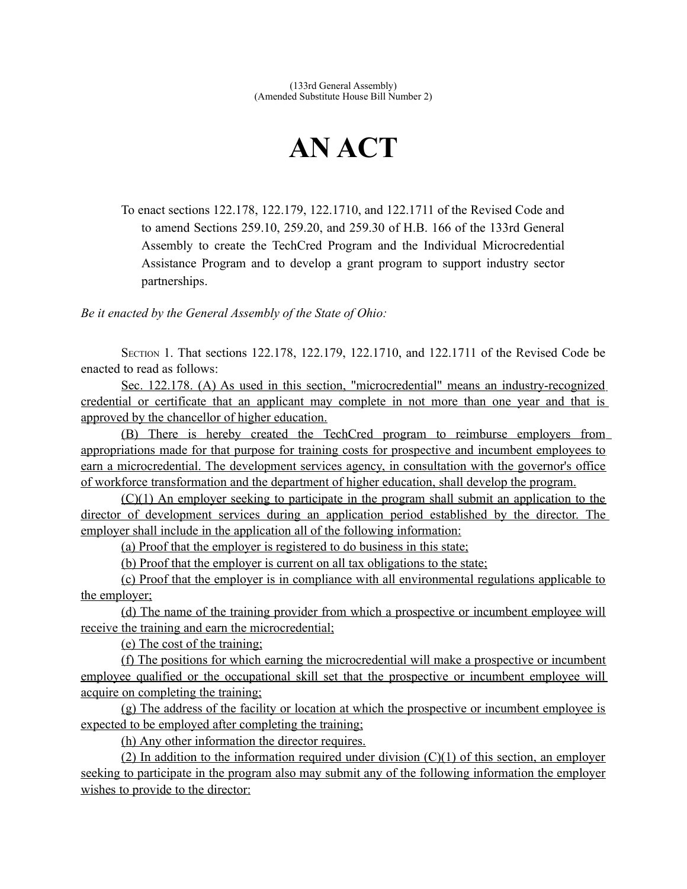# **AN ACT**

To enact sections 122.178, 122.179, 122.1710, and 122.1711 of the Revised Code and to amend Sections 259.10, 259.20, and 259.30 of H.B. 166 of the 133rd General Assembly to create the TechCred Program and the Individual Microcredential Assistance Program and to develop a grant program to support industry sector partnerships.

*Be it enacted by the General Assembly of the State of Ohio:*

SECTION 1. That sections 122.178, 122.179, 122.1710, and 122.1711 of the Revised Code be enacted to read as follows:

 Sec. 122.178. (A) As used in this section, "microcredential" means an industry-recognized credential or certificate that an applicant may complete in not more than one year and that is approved by the chancellor of higher education.

 (B) There is hereby created the TechCred program to reimburse employers from appropriations made for that purpose for training costs for prospective and incumbent employees to earn a microcredential. The development services agency, in consultation with the governor's office of workforce transformation and the department of higher education, shall develop the program.

 (C)(1) An employer seeking to participate in the program shall submit an application to the director of development services during an application period established by the director. The employer shall include in the application all of the following information:

(a) Proof that the employer is registered to do business in this state;

(b) Proof that the employer is current on all tax obligations to the state;

 (c) Proof that the employer is in compliance with all environmental regulations applicable to the employer;

 (d) The name of the training provider from which a prospective or incumbent employee will receive the training and earn the microcredential;

(e) The cost of the training;

 (f) The positions for which earning the microcredential will make a prospective or incumbent employee qualified or the occupational skill set that the prospective or incumbent employee will acquire on completing the training;

 (g) The address of the facility or location at which the prospective or incumbent employee is expected to be employed after completing the training;

(h) Any other information the director requires.

(2) In addition to the information required under division  $(C)(1)$  of this section, an employer seeking to participate in the program also may submit any of the following information the employer wishes to provide to the director: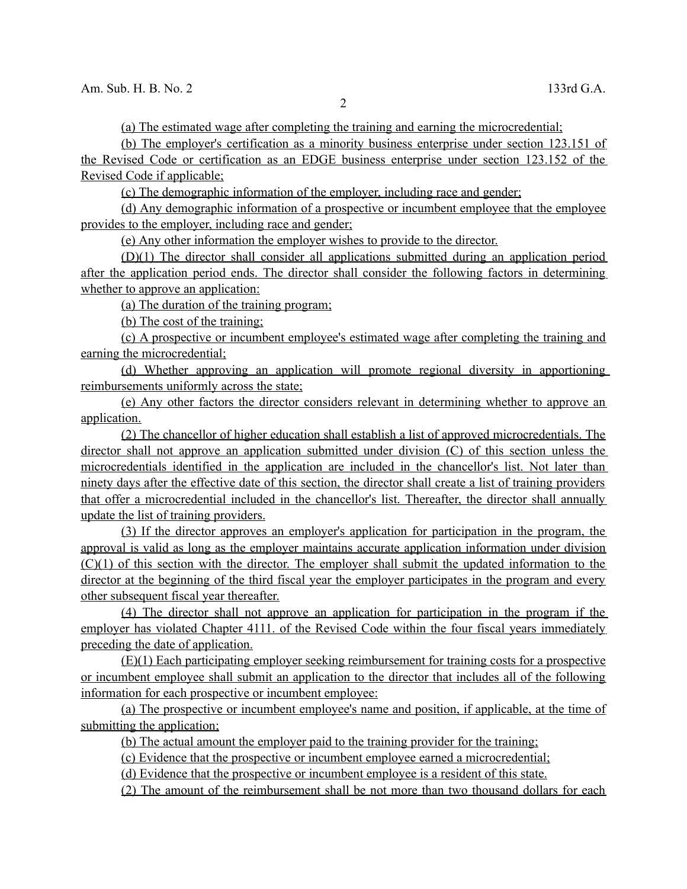(a) The estimated wage after completing the training and earning the microcredential;

(b) The employer's certification as a minority business enterprise under section 123.151 of

 the Revised Code or certification as an EDGE business enterprise under section 123.152 of the Revised Code if applicable;

(c) The demographic information of the employer, including race and gender;

 (d) Any demographic information of a prospective or incumbent employee that the employee provides to the employer, including race and gender;

(e) Any other information the employer wishes to provide to the director.

 (D)(1) The director shall consider all applications submitted during an application period after the application period ends. The director shall consider the following factors in determining whether to approve an application:

(a) The duration of the training program;

(b) The cost of the training;

 (c) A prospective or incumbent employee's estimated wage after completing the training and earning the microcredential;

 (d) Whether approving an application will promote regional diversity in apportioning reimbursements uniformly across the state;

 (e) Any other factors the director considers relevant in determining whether to approve an application.

 (2) The chancellor of higher education shall establish a list of approved microcredentials. The director shall not approve an application submitted under division (C) of this section unless the microcredentials identified in the application are included in the chancellor's list. Not later than ninety days after the effective date of this section, the director shall create a list of training providers that offer a microcredential included in the chancellor's list. Thereafter, the director shall annually update the list of training providers.

 (3) If the director approves an employer's application for participation in the program, the approval is valid as long as the employer maintains accurate application information under division (C)(1) of this section with the director. The employer shall submit the updated information to the director at the beginning of the third fiscal year the employer participates in the program and every other subsequent fiscal year thereafter.

 (4) The director shall not approve an application for participation in the program if the employer has violated Chapter 4111. of the Revised Code within the four fiscal years immediately preceding the date of application.

 (E)(1) Each participating employer seeking reimbursement for training costs for a prospective or incumbent employee shall submit an application to the director that includes all of the following information for each prospective or incumbent employee:

 (a) The prospective or incumbent employee's name and position, if applicable, at the time of submitting the application;

(b) The actual amount the employer paid to the training provider for the training;

(c) Evidence that the prospective or incumbent employee earned a microcredential;

(d) Evidence that the prospective or incumbent employee is a resident of this state.

(2) The amount of the reimbursement shall be not more than two thousand dollars for each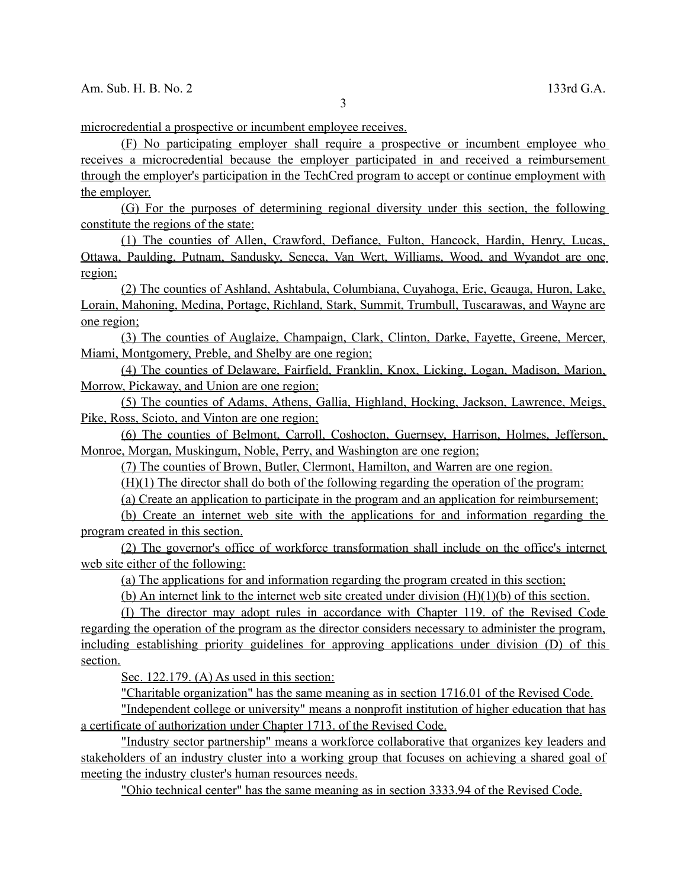microcredential a prospective or incumbent employee receives.

 (F) No participating employer shall require a prospective or incumbent employee who receives a microcredential because the employer participated in and received a reimbursement through the employer's participation in the TechCred program to accept or continue employment with the employer.

 (G) For the purposes of determining regional diversity under this section, the following constitute the regions of the state:

 (1) The counties of Allen, Crawford, Defiance, Fulton, Hancock, Hardin, Henry, Lucas, Ottawa, Paulding, Putnam, Sandusky, Seneca, Van Wert, Williams, Wood, and Wyandot are one region;

 (2) The counties of Ashland, Ashtabula, Columbiana, Cuyahoga, Erie, Geauga, Huron, Lake, Lorain, Mahoning, Medina, Portage, Richland, Stark, Summit, Trumbull, Tuscarawas, and Wayne are one region;

 (3) The counties of Auglaize, Champaign, Clark, Clinton, Darke, Fayette, Greene, Mercer, Miami, Montgomery, Preble, and Shelby are one region;

 (4) The counties of Delaware, Fairfield, Franklin, Knox, Licking, Logan, Madison, Marion, Morrow, Pickaway, and Union are one region;

 (5) The counties of Adams, Athens, Gallia, Highland, Hocking, Jackson, Lawrence, Meigs, Pike, Ross, Scioto, and Vinton are one region;

 (6) The counties of Belmont, Carroll, Coshocton, Guernsey, Harrison, Holmes, Jefferson, Monroe, Morgan, Muskingum, Noble, Perry, and Washington are one region;

(7) The counties of Brown, Butler, Clermont, Hamilton, and Warren are one region.

(H)(1) The director shall do both of the following regarding the operation of the program:

(a) Create an application to participate in the program and an application for reimbursement;

 (b) Create an internet web site with the applications for and information regarding the program created in this section.

 (2) The governor's office of workforce transformation shall include on the office's internet web site either of the following:

(a) The applications for and information regarding the program created in this section;

(b) An internet link to the internet web site created under division  $(H)(1)(b)$  of this section.

 (I) The director may adopt rules in accordance with Chapter 119. of the Revised Code regarding the operation of the program as the director considers necessary to administer the program, including establishing priority guidelines for approving applications under division (D) of this section.

Sec. 122.179. (A) As used in this section:

"Charitable organization" has the same meaning as in section 1716.01 of the Revised Code.

 "Independent college or university" means a nonprofit institution of higher education that has a certificate of authorization under Chapter 1713. of the Revised Code.

 "Industry sector partnership" means a workforce collaborative that organizes key leaders and stakeholders of an industry cluster into a working group that focuses on achieving a shared goal of meeting the industry cluster's human resources needs.

"Ohio technical center" has the same meaning as in section 3333.94 of the Revised Code.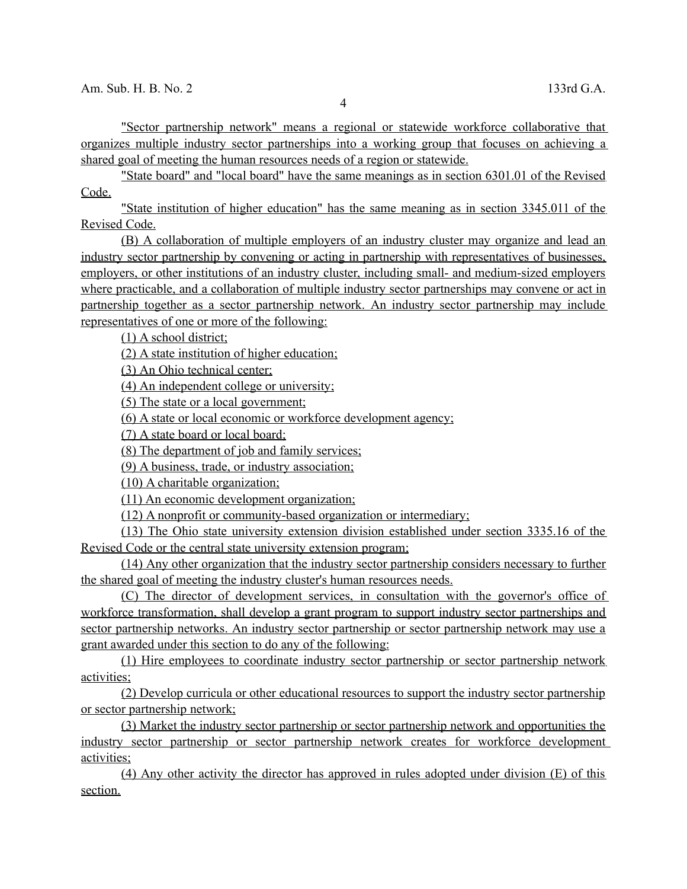"Sector partnership network" means a regional or statewide workforce collaborative that organizes multiple industry sector partnerships into a working group that focuses on achieving a shared goal of meeting the human resources needs of a region or statewide.

 "State board" and "local board" have the same meanings as in section 6301.01 of the Revised Code.

 "State institution of higher education" has the same meaning as in section 3345.011 of the Revised Code.

 (B) A collaboration of multiple employers of an industry cluster may organize and lead an industry sector partnership by convening or acting in partnership with representatives of businesses, employers, or other institutions of an industry cluster, including small- and medium-sized employers where practicable, and a collaboration of multiple industry sector partnerships may convene or act in partnership together as a sector partnership network. An industry sector partnership may include representatives of one or more of the following:

(1) A school district;

(2) A state institution of higher education;

(3) An Ohio technical center;

(4) An independent college or university;

(5) The state or a local government;

(6) A state or local economic or workforce development agency;

(7) A state board or local board;

(8) The department of job and family services;

(9) A business, trade, or industry association;

(10) A charitable organization;

(11) An economic development organization;

(12) A nonprofit or community-based organization or intermediary;

 (13) The Ohio state university extension division established under section 3335.16 of the Revised Code or the central state university extension program;

 (14) Any other organization that the industry sector partnership considers necessary to further the shared goal of meeting the industry cluster's human resources needs.

 (C) The director of development services, in consultation with the governor's office of workforce transformation, shall develop a grant program to support industry sector partnerships and sector partnership networks. An industry sector partnership or sector partnership network may use a grant awarded under this section to do any of the following:

 (1) Hire employees to coordinate industry sector partnership or sector partnership network activities;

 (2) Develop curricula or other educational resources to support the industry sector partnership or sector partnership network;

 (3) Market the industry sector partnership or sector partnership network and opportunities the industry sector partnership or sector partnership network creates for workforce development activities;

 (4) Any other activity the director has approved in rules adopted under division (E) of this section.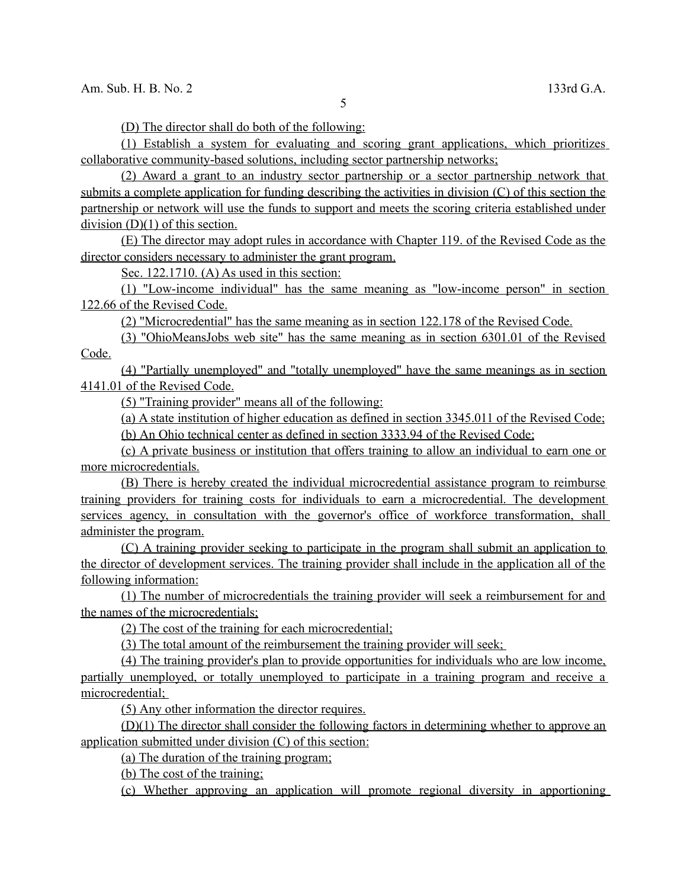(D) The director shall do both of the following:

 (1) Establish a system for evaluating and scoring grant applications, which prioritizes collaborative community-based solutions, including sector partnership networks;

 (2) Award a grant to an industry sector partnership or a sector partnership network that submits a complete application for funding describing the activities in division (C) of this section the partnership or network will use the funds to support and meets the scoring criteria established under division (D)(1) of this section.

 (E) The director may adopt rules in accordance with Chapter 119. of the Revised Code as the director considers necessary to administer the grant program.

Sec. 122.1710. (A) As used in this section:

 (1) "Low-income individual" has the same meaning as "low-income person" in section 122.66 of the Revised Code.

(2) "Microcredential" has the same meaning as in section 122.178 of the Revised Code.

 (3) "OhioMeansJobs web site" has the same meaning as in section 6301.01 of the Revised Code.

 (4) "Partially unemployed" and "totally unemployed" have the same meanings as in section 4141.01 of the Revised Code.

(5) "Training provider" means all of the following:

 (a) A state institution of higher education as defined in section 3345.011 of the Revised Code; (b) An Ohio technical center as defined in section 3333.94 of the Revised Code;

 (c) A private business or institution that offers training to allow an individual to earn one or more microcredentials.

 (B) There is hereby created the individual microcredential assistance program to reimburse training providers for training costs for individuals to earn a microcredential. The development services agency, in consultation with the governor's office of workforce transformation, shall administer the program.

 (C) A training provider seeking to participate in the program shall submit an application to the director of development services. The training provider shall include in the application all of the following information:

 (1) The number of microcredentials the training provider will seek a reimbursement for and the names of the microcredentials;

(2) The cost of the training for each microcredential ;

(3) The total amount of the reimbursement the training provider will seek;

 (4) The training provider's plan to provide opportunities for individuals who are low income, partially unemployed, or totally unemployed to participate in a training program and receive a microcredential;

(5) Any other information the director requires.

 (D)(1) The director shall consider the following factors in determining whether to approve an application submitted under division (C) of this section:

(a) The duration of the training program;

(b) The cost of the training;

(c) Whether approving an application will promote regional diversity in apportioning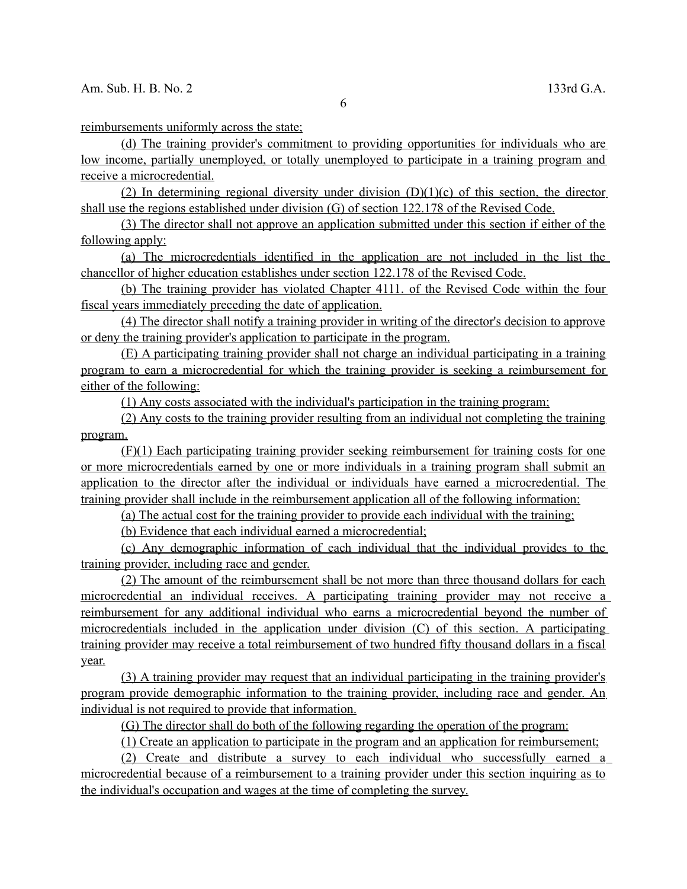reimbursements uniformly across the state;

 (d) The training provider's commitment to providing opportunities for individuals who are low income, partially unemployed, or totally unemployed to participate in a training program and receive a microcredential.

(2) In determining regional diversity under division  $(D)(1)(c)$  of this section, the director shall use the regions established under division (G) of section 122.178 of the Revised Code.

 (3) The director shall not approve an application submitted under this section if either of the following apply:

 (a) The microcredentials identified in the application are not included in the list the chancellor of higher education establishes under section 122.178 of the Revised Code.

 (b) The training provider has violated Chapter 4111. of the Revised Code within the four fiscal years immediately preceding the date of application.

 (4) The director shall notify a training provider in writing of the director's decision to approve or deny the training provider's application to participate in the program.

 (E) A participating training provider shall not charge an individual participating in a training program to earn a microcredential for which the training provider is seeking a reimbursement for either of the following:

(1) Any costs associated with the individual's participation in the training program;

 (2) Any costs to the training provider resulting from an individual not completing the training program.

 (F)(1) Each participating training provider seeking reimbursement for training costs for one or more microcredentials earned by one or more individuals in a training program shall submit an application to the director after the individual or individuals have earned a microcredential. The training provider shall include in the reimbursement application all of the following information:

(a) The actual cost for the training provider to provide each individual with the training;

(b) Evidence that each individual earned a microcredential;

 (c) Any demographic information of each individual that the individual provides to the training provider, including race and gender.

 (2) The amount of the reimbursement shall be not more than three thousand dollars for each microcredential an individual receives. A participating training provider may not receive a reimbursement for any additional individual who earns a microcredential beyond the number of microcredentials included in the application under division (C) of this section. A participating training provider may receive a total reimbursement of two hundred fifty thousand dollars in a fiscal year.

 (3) A training provider may request that an individual participating in the training provider's program provide demographic information to the training provider, including race and gender. An individual is not required to provide that information.

(G) The director shall do both of the following regarding the operation of the program:

(1) Create an application to participate in the program and an application for reimbursement;

 (2) Create and distribute a survey to each individual who successfully earned a microcredential because of a reimbursement to a training provider under this section inquiring as to the individual's occupation and wages at the time of completing the survey.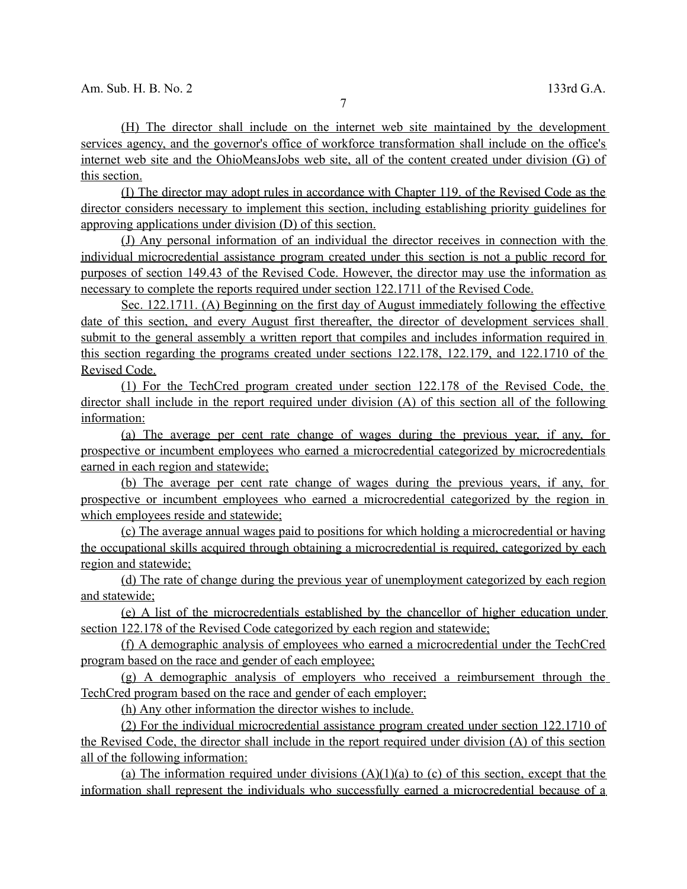(H) The director shall include on the internet web site maintained by the development services agency, and the governor's office of workforce transformation shall include on the office's internet web site and the OhioMeansJobs web site, all of the content created under division (G) of this section.

 (I) The director may adopt rules in accordance with Chapter 119. of the Revised Code as the director considers necessary to implement this section, including establishing priority guidelines for approving applications under division (D) of this section.

 (J) Any personal information of an individual the director receives in connection with the individual microcredential assistance program created under this section is not a public record for purposes of section 149.43 of the Revised Code. However, the director may use the information as necessary to complete the reports required under section 122.1711 of the Revised Code.

 Sec. 122.1711. (A) Beginning on the first day of August immediately following the effective date of this section, and every August first thereafter, the director of development services shall submit to the general assembly a written report that compiles and includes information required in this section regarding the programs created under sections 122.178, 122.179, and 122.1710 of the Revised Code.

 (1) For the TechCred program created under section 122.178 of the Revised Code, the director shall include in the report required under division (A) of this section all of the following information:

 (a) The average per cent rate change of wages during the previous year, if any, for prospective or incumbent employees who earned a microcredential categorized by microcredentials earned in each region and statewide;

 (b) The average per cent rate change of wages during the previous years, if any, for prospective or incumbent employees who earned a microcredential categorized by the region in which employees reside and statewide;

 (c) The average annual wages paid to positions for which holding a microcredential or having the occupational skills acquired through obtaining a microcredential is required, categorized by each region and statewide;

 (d) The rate of change during the previous year of unemployment categorized by each region and statewide;

 (e) A list of the microcredentials established by the chancellor of higher education under section 122.178 of the Revised Code categorized by each region and statewide;

 (f) A demographic analysis of employees who earned a microcredential under the TechCred program based on the race and gender of each employee;

 (g) A demographic analysis of employers who received a reimbursement through the TechCred program based on the race and gender of each employer;

(h) Any other information the director wishes to include.

 (2) For the individual microcredential assistance program created under section 122.1710 of the Revised Code, the director shall include in the report required under division (A) of this section all of the following information:

(a) The information required under divisions  $(A)(1)(a)$  to (c) of this section, except that the information shall represent the individuals who successfully earned a microcredential because of a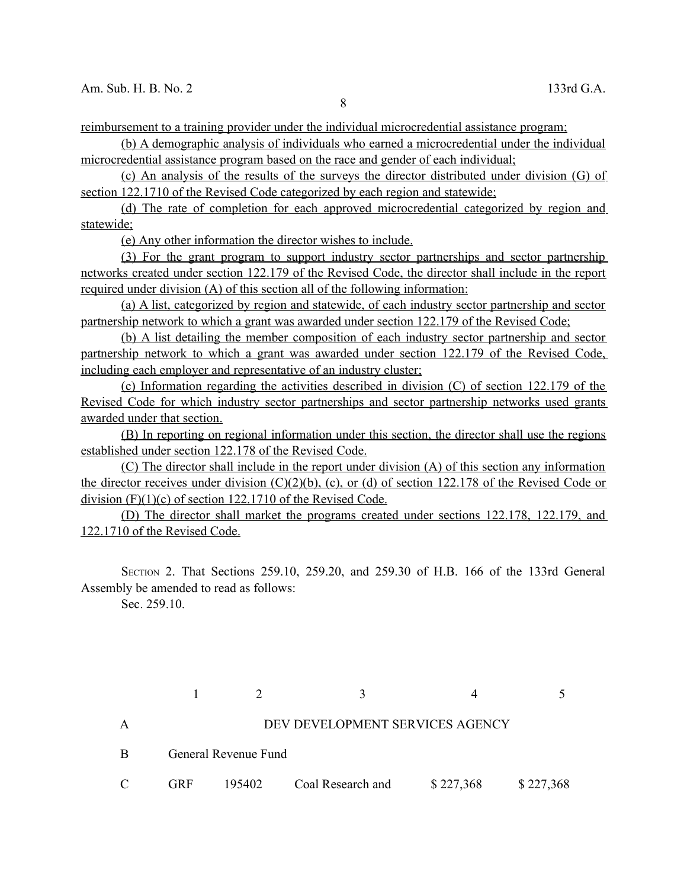reimbursement to a training provider under the individual microcredential assistance program;

 (b) A demographic analysis of individuals who earned a microcredential under the individual microcredential assistance program based on the race and gender of each individual;

 (c) An analysis of the results of the surveys the director distributed under division (G) of section 122.1710 of the Revised Code categorized by each region and statewide;

 (d) The rate of completion for each approved microcredential categorized by region and statewide;

(e) Any other information the director wishes to include.

 (3) For the grant program to support industry sector partnerships and sector partnership networks created under section 122.179 of the Revised Code, the director shall include in the report required under division (A) of this section all of the following information:

 (a) A list, categorized by region and statewide, of each industry sector partnership and sector partnership network to which a grant was awarded under section 122.179 of the Revised Code;

 (b) A list detailing the member composition of each industry sector partnership and sector partnership network to which a grant was awarded under section 122.179 of the Revised Code, including each employer and representative of an industry cluster;

 (c) Information regarding the activities described in division (C) of section 122.179 of the Revised Code for which industry sector partnerships and sector partnership networks used grants awarded under that section.

 (B) In reporting on regional information under this section, the director shall use the regions established under section 122.178 of the Revised Code.

 (C) The director shall include in the report under division (A) of this section any information the director receives under division  $(C)(2)(b)$ ,  $(c)$ , or  $(d)$  of section 122.178 of the Revised Code or division (F)(1)(c) of section 122.1710 of the Revised Code.

 (D) The director shall market the programs created under sections 122.178, 122.179, and 122.1710 of the Revised Code.

SECTION 2. That Sections 259.10, 259.20, and 259.30 of H.B. 166 of the 133rd General Assembly be amended to read as follows:

Sec. 259.10.

 $1 \t 2 \t 3 \t 4 \t 5$ A DEV DEVELOPMENT SERVICES AGENCY B General Revenue Fund C GRF 195402 Coal Research and \$ 227,368 \$ 227,368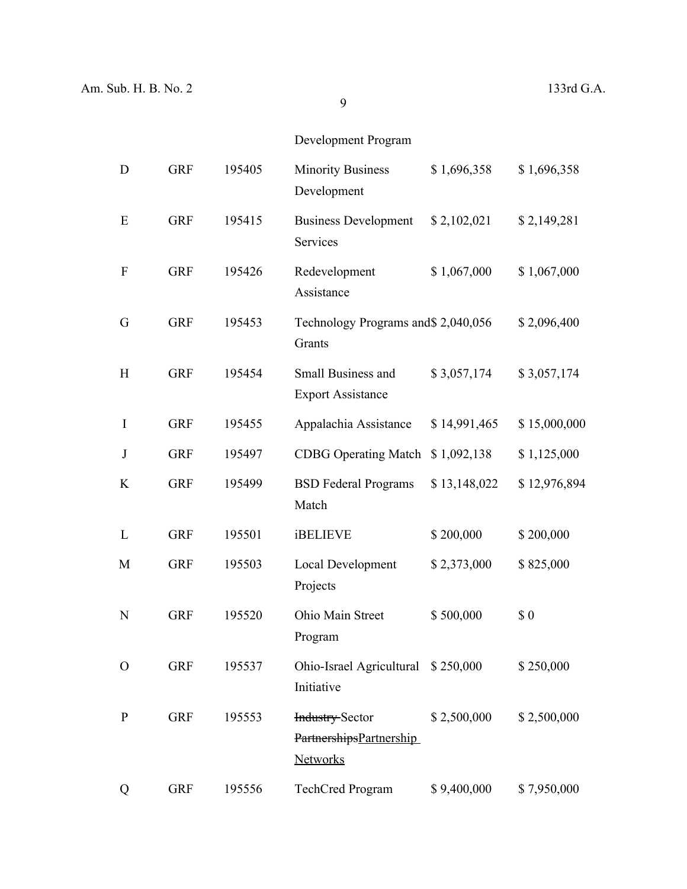# Development Program

| D                | <b>GRF</b> | 195405 | <b>Minority Business</b><br>Development                              | \$1,696,358  | \$1,696,358  |
|------------------|------------|--------|----------------------------------------------------------------------|--------------|--------------|
| E                | <b>GRF</b> | 195415 | <b>Business Development</b><br>Services                              | \$2,102,021  | \$2,149,281  |
| $\boldsymbol{F}$ | <b>GRF</b> | 195426 | Redevelopment<br>Assistance                                          | \$1,067,000  | \$1,067,000  |
| G                | <b>GRF</b> | 195453 | Technology Programs and \$2,040,056<br>Grants                        |              | \$2,096,400  |
| H                | <b>GRF</b> | 195454 | Small Business and<br><b>Export Assistance</b>                       | \$3,057,174  | \$3,057,174  |
| I                | <b>GRF</b> | 195455 | Appalachia Assistance                                                | \$14,991,465 | \$15,000,000 |
| $\bf J$          | <b>GRF</b> | 195497 | <b>CDBG</b> Operating Match                                          | \$1,092,138  | \$1,125,000  |
| K                | <b>GRF</b> | 195499 | <b>BSD</b> Federal Programs<br>Match                                 | \$13,148,022 | \$12,976,894 |
| L                | <b>GRF</b> | 195501 | <b>iBELIEVE</b>                                                      | \$200,000    | \$200,000    |
| M                | <b>GRF</b> | 195503 | <b>Local Development</b><br>Projects                                 | \$2,373,000  | \$825,000    |
| N                | <b>GRF</b> | 195520 | Ohio Main Street<br>Program                                          | \$500,000    | \$0          |
| O                | <b>GRF</b> | 195537 | Ohio-Israel Agricultural \$250,000<br>Initiative                     |              | \$250,000    |
| $\mathbf P$      | <b>GRF</b> | 195553 | <b>Industry-Sector</b><br>PartnershipsPartnership<br><b>Networks</b> | \$2,500,000  | \$2,500,000  |
| Q                | <b>GRF</b> | 195556 | <b>TechCred Program</b>                                              | \$9,400,000  | \$7,950,000  |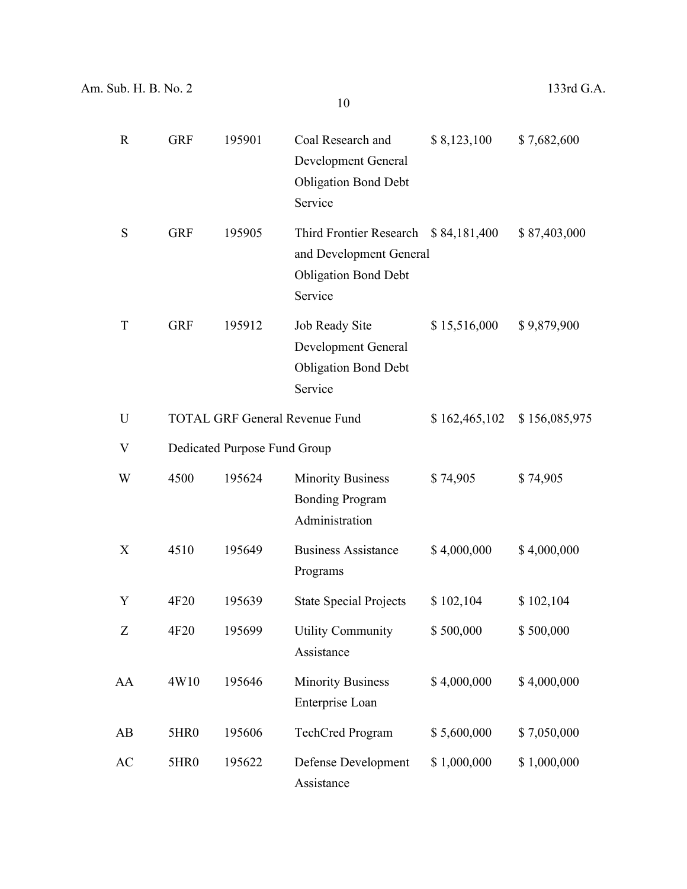| $\mathbf R$ | <b>GRF</b>       | 195901                       | Coal Research and<br><b>Development General</b><br><b>Obligation Bond Debt</b><br>Service                 | \$8,123,100   | \$7,682,600   |
|-------------|------------------|------------------------------|-----------------------------------------------------------------------------------------------------------|---------------|---------------|
| S           | <b>GRF</b>       | 195905                       | Third Frontier Research \$84,181,400<br>and Development General<br><b>Obligation Bond Debt</b><br>Service |               | \$87,403,000  |
| T           | <b>GRF</b>       | 195912                       | Job Ready Site<br>Development General<br><b>Obligation Bond Debt</b><br>Service                           | \$15,516,000  | \$9,879,900   |
| U           |                  |                              | <b>TOTAL GRF General Revenue Fund</b>                                                                     | \$162,465,102 | \$156,085,975 |
| V           |                  | Dedicated Purpose Fund Group |                                                                                                           |               |               |
| W           | 4500             | 195624                       | <b>Minority Business</b><br><b>Bonding Program</b><br>Administration                                      | \$74,905      | \$74,905      |
| X           | 4510             | 195649                       | <b>Business Assistance</b><br>Programs                                                                    | \$4,000,000   | \$4,000,000   |
| Y           | 4F20             | 195639                       | <b>State Special Projects</b>                                                                             | \$102,104     | \$102,104     |
| Z           | 4F20             | 195699                       | <b>Utility Community</b><br>Assistance                                                                    | \$500,000     | \$500,000     |
| AA          | 4W10             | 195646                       | <b>Minority Business</b><br>Enterprise Loan                                                               | \$4,000,000   | \$4,000,000   |
| AB          | 5HR <sub>0</sub> | 195606                       | <b>TechCred Program</b>                                                                                   | \$5,600,000   | \$7,050,000   |
| AC          | 5HR0             | 195622                       | Defense Development<br>Assistance                                                                         | \$1,000,000   | \$1,000,000   |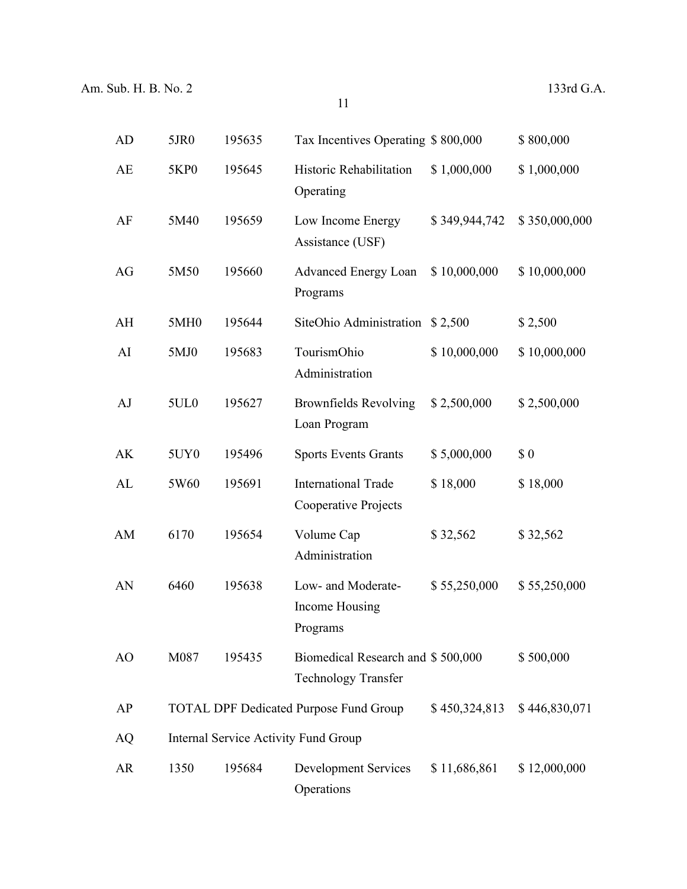| AD | 5JR0             | 195635 | Tax Incentives Operating \$800,000                              |               | \$800,000     |
|----|------------------|--------|-----------------------------------------------------------------|---------------|---------------|
| AE | <b>5KP0</b>      | 195645 | Historic Rehabilitation<br>Operating                            | \$1,000,000   | \$1,000,000   |
| AF | 5M40             | 195659 | Low Income Energy<br>Assistance (USF)                           | \$349,944,742 | \$350,000,000 |
| AG | 5M50             | 195660 | <b>Advanced Energy Loan</b><br>Programs                         | \$10,000,000  | \$10,000,000  |
| AH | 5MH <sub>0</sub> | 195644 | SiteOhio Administration \$2,500                                 |               | \$2,500       |
| AI | 5MJ0             | 195683 | TourismOhio<br>Administration                                   | \$10,000,000  | \$10,000,000  |
| AJ | 5UL <sub>0</sub> | 195627 | <b>Brownfields Revolving</b><br>Loan Program                    | \$2,500,000   | \$2,500,000   |
| AK | 5UY <sub>0</sub> | 195496 | <b>Sports Events Grants</b>                                     | \$5,000,000   | \$0           |
| AL | 5W60             | 195691 | <b>International Trade</b><br>Cooperative Projects              | \$18,000      | \$18,000      |
| AM | 6170             | 195654 | Volume Cap<br>Administration                                    | \$32,562      | \$32,562      |
| AN | 6460             | 195638 | Low- and Moderate-<br>Income Housing<br>Programs                | \$55,250,000  | \$55,250,000  |
| AO | M087             | 195435 | Biomedical Research and \$500,000<br><b>Technology Transfer</b> |               | \$500,000     |
| AP |                  |        | <b>TOTAL DPF Dedicated Purpose Fund Group</b>                   | \$450,324,813 | \$446,830,071 |
| AQ |                  |        | <b>Internal Service Activity Fund Group</b>                     |               |               |
| AR | 1350             | 195684 | <b>Development Services</b><br>Operations                       | \$11,686,861  | \$12,000,000  |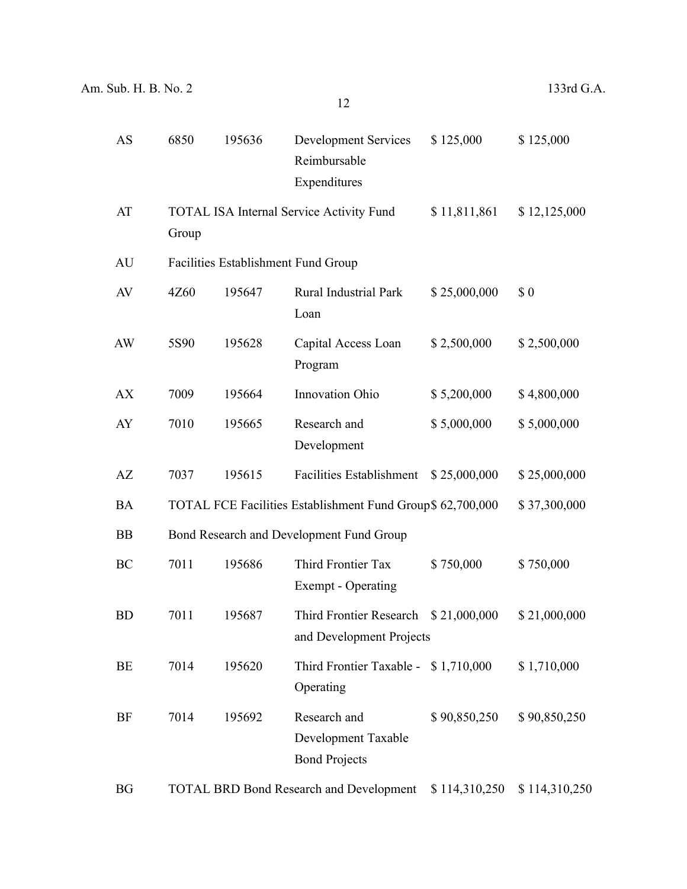| <b>AS</b> | 6850                                                                       | 195636 | <b>Development Services</b><br>Reimbursable<br>Expenditures | \$125,000     | \$125,000     |  |  |
|-----------|----------------------------------------------------------------------------|--------|-------------------------------------------------------------|---------------|---------------|--|--|
| AT        | Group                                                                      |        | <b>TOTAL ISA Internal Service Activity Fund</b>             | \$11,811,861  | \$12,125,000  |  |  |
| AU        | Facilities Establishment Fund Group                                        |        |                                                             |               |               |  |  |
| AV        | 4Z60                                                                       | 195647 | Rural Industrial Park<br>Loan                               | \$25,000,000  | \$0           |  |  |
| AW        | 5S90                                                                       | 195628 | Capital Access Loan<br>Program                              | \$2,500,000   | \$2,500,000   |  |  |
| AX        | 7009                                                                       | 195664 | Innovation Ohio                                             | \$5,200,000   | \$4,800,000   |  |  |
| AY        | 7010                                                                       | 195665 | Research and<br>Development                                 | \$5,000,000   | \$5,000,000   |  |  |
| AZ        | 7037                                                                       | 195615 | <b>Facilities Establishment</b>                             | \$25,000,000  | \$25,000,000  |  |  |
| <b>BA</b> | TOTAL FCE Facilities Establishment Fund Group\$ 62,700,000<br>\$37,300,000 |        |                                                             |               |               |  |  |
| <b>BB</b> | Bond Research and Development Fund Group                                   |        |                                                             |               |               |  |  |
| BC        | 7011                                                                       | 195686 | Third Frontier Tax<br>Exempt - Operating                    | \$750,000     | \$750,000     |  |  |
| <b>BD</b> | 7011                                                                       | 195687 | Third Frontier Research<br>and Development Projects         | \$21,000,000  | \$21,000,000  |  |  |
| BE        | 7014                                                                       | 195620 | Third Frontier Taxable - \$1,710,000<br>Operating           |               | \$1,710,000   |  |  |
| <b>BF</b> | 7014                                                                       | 195692 | Research and<br>Development Taxable<br><b>Bond Projects</b> | \$90,850,250  | \$90,850,250  |  |  |
| <b>BG</b> | <b>TOTAL BRD Bond Research and Development</b>                             |        |                                                             | \$114,310,250 | \$114,310,250 |  |  |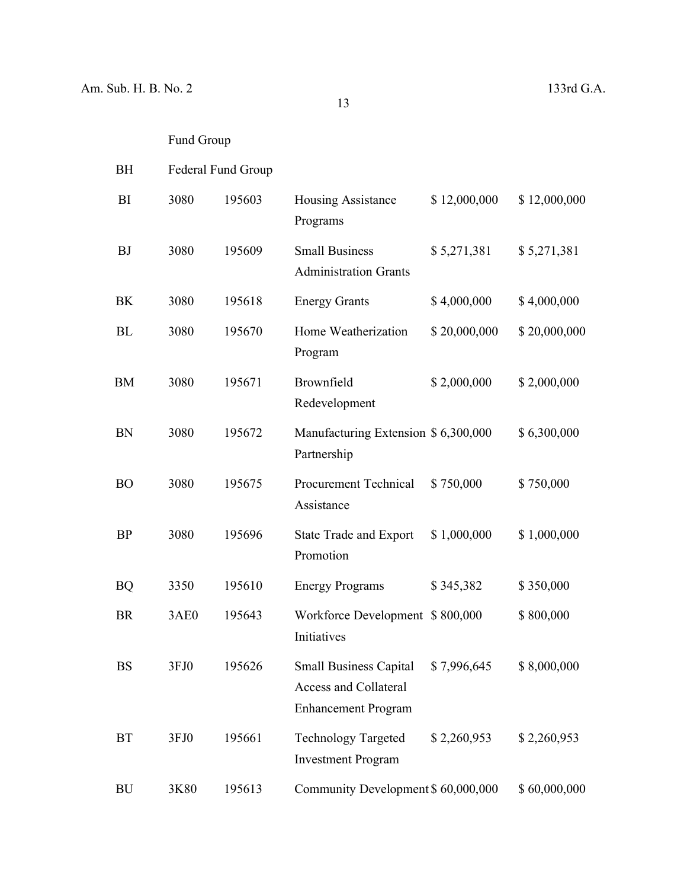# Fund Group

| BH        | <b>Federal Fund Group</b> |        |                                                                                                  |              |              |
|-----------|---------------------------|--------|--------------------------------------------------------------------------------------------------|--------------|--------------|
| BI        | 3080                      | 195603 | <b>Housing Assistance</b><br>Programs                                                            | \$12,000,000 | \$12,000,000 |
| <b>BJ</b> | 3080                      | 195609 | <b>Small Business</b><br><b>Administration Grants</b>                                            | \$5,271,381  | \$5,271,381  |
| BK        | 3080                      | 195618 | <b>Energy Grants</b>                                                                             | \$4,000,000  | \$4,000,000  |
| BL        | 3080                      | 195670 | Home Weatherization<br>Program                                                                   | \$20,000,000 | \$20,000,000 |
| <b>BM</b> | 3080                      | 195671 | Brownfield<br>Redevelopment                                                                      | \$2,000,000  | \$2,000,000  |
| <b>BN</b> | 3080                      | 195672 | Manufacturing Extension \$ 6,300,000<br>Partnership                                              |              | \$6,300,000  |
| <b>BO</b> | 3080                      | 195675 | Procurement Technical<br>Assistance                                                              | \$750,000    | \$750,000    |
| <b>BP</b> | 3080                      | 195696 | <b>State Trade and Export</b><br>Promotion                                                       | \$1,000,000  | \$1,000,000  |
| <b>BQ</b> | 3350                      | 195610 | <b>Energy Programs</b>                                                                           | \$345,382    | \$350,000    |
| <b>BR</b> | 3AE0                      | 195643 | Workforce Development \$800,000<br>Initiatives                                                   |              | \$800,000    |
| BS        | 3FJ0                      | 195626 | Small Business Capital \$7,996,645<br><b>Access and Collateral</b><br><b>Enhancement Program</b> |              | \$8,000,000  |
| <b>BT</b> | 3FJ0                      | 195661 | <b>Technology Targeted</b><br><b>Investment Program</b>                                          | \$2,260,953  | \$2,260,953  |
| BU        | 3K80                      | 195613 | Community Development \$ 60,000,000                                                              |              | \$60,000,000 |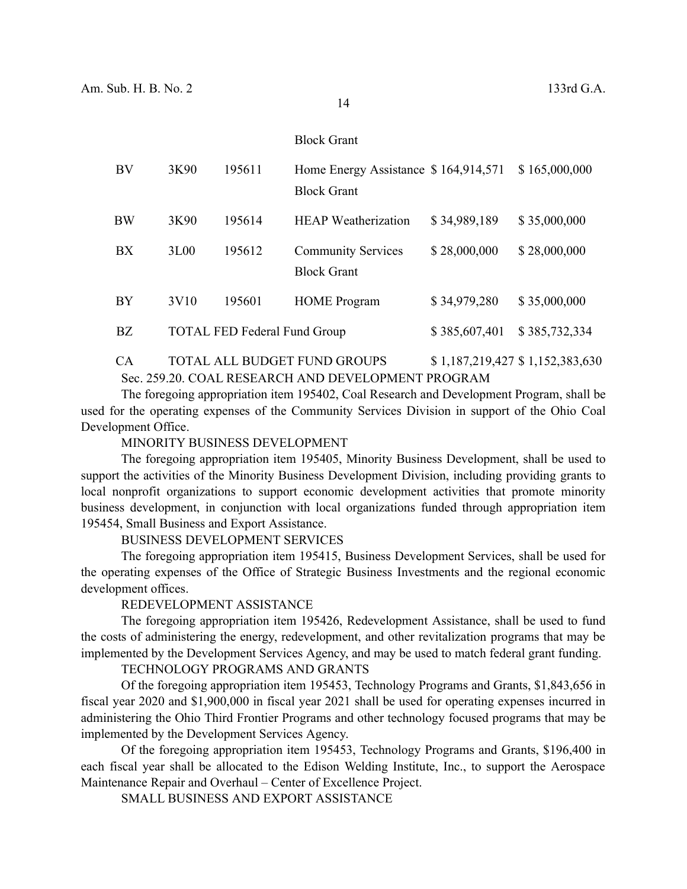#### Block Grant

| BV        | 3K90 | 195611                              | Home Energy Assistance \$164,914,571<br><b>Block Grant</b> |               | \$165,000,000 |
|-----------|------|-------------------------------------|------------------------------------------------------------|---------------|---------------|
| BW        | 3K90 | 195614                              | <b>HEAP</b> Weatherization                                 | \$34,989,189  | \$35,000,000  |
| BX        | 3L00 | 195612                              | <b>Community Services</b><br><b>Block Grant</b>            | \$28,000,000  | \$28,000,000  |
| <b>BY</b> | 3V10 | 195601                              | <b>HOME</b> Program                                        | \$34,979,280  | \$35,000,000  |
| BZ        |      | <b>TOTAL FED Federal Fund Group</b> |                                                            | \$385,607,401 | \$385,732,334 |

CA TOTAL ALL BUDGET FUND GROUPS \$1,187,219,427 \$1,152,383,630 Sec. 259.20. COAL RESEARCH AND DEVELOPMENT PROGRAM

The foregoing appropriation item 195402, Coal Research and Development Program, shall be used for the operating expenses of the Community Services Division in support of the Ohio Coal Development Office.

MINORITY BUSINESS DEVELOPMENT

The foregoing appropriation item 195405, Minority Business Development, shall be used to support the activities of the Minority Business Development Division, including providing grants to local nonprofit organizations to support economic development activities that promote minority business development, in conjunction with local organizations funded through appropriation item 195454, Small Business and Export Assistance.

BUSINESS DEVELOPMENT SERVICES

The foregoing appropriation item 195415, Business Development Services, shall be used for the operating expenses of the Office of Strategic Business Investments and the regional economic development offices.

#### REDEVELOPMENT ASSISTANCE

The foregoing appropriation item 195426, Redevelopment Assistance, shall be used to fund the costs of administering the energy, redevelopment, and other revitalization programs that may be implemented by the Development Services Agency, and may be used to match federal grant funding.

TECHNOLOGY PROGRAMS AND GRANTS

Of the foregoing appropriation item 195453, Technology Programs and Grants, \$1,843,656 in fiscal year 2020 and \$1,900,000 in fiscal year 2021 shall be used for operating expenses incurred in administering the Ohio Third Frontier Programs and other technology focused programs that may be implemented by the Development Services Agency.

Of the foregoing appropriation item 195453, Technology Programs and Grants, \$196,400 in each fiscal year shall be allocated to the Edison Welding Institute, Inc., to support the Aerospace Maintenance Repair and Overhaul – Center of Excellence Project.

SMALL BUSINESS AND EXPORT ASSISTANCE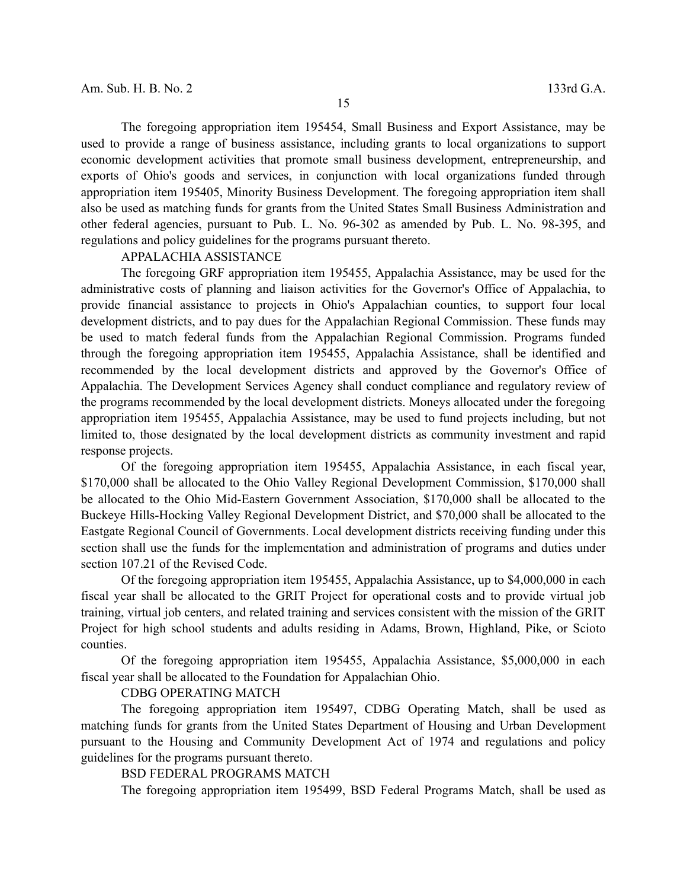The foregoing appropriation item 195454, Small Business and Export Assistance, may be used to provide a range of business assistance, including grants to local organizations to support economic development activities that promote small business development, entrepreneurship, and exports of Ohio's goods and services, in conjunction with local organizations funded through appropriation item 195405, Minority Business Development. The foregoing appropriation item shall also be used as matching funds for grants from the United States Small Business Administration and other federal agencies, pursuant to Pub. L. No. 96-302 as amended by Pub. L. No. 98-395, and regulations and policy guidelines for the programs pursuant thereto.

# APPALACHIA ASSISTANCE

The foregoing GRF appropriation item 195455, Appalachia Assistance, may be used for the administrative costs of planning and liaison activities for the Governor's Office of Appalachia, to provide financial assistance to projects in Ohio's Appalachian counties, to support four local development districts, and to pay dues for the Appalachian Regional Commission. These funds may be used to match federal funds from the Appalachian Regional Commission. Programs funded through the foregoing appropriation item 195455, Appalachia Assistance, shall be identified and recommended by the local development districts and approved by the Governor's Office of Appalachia. The Development Services Agency shall conduct compliance and regulatory review of the programs recommended by the local development districts. Moneys allocated under the foregoing appropriation item 195455, Appalachia Assistance, may be used to fund projects including, but not limited to, those designated by the local development districts as community investment and rapid response projects.

Of the foregoing appropriation item 195455, Appalachia Assistance, in each fiscal year, \$170,000 shall be allocated to the Ohio Valley Regional Development Commission, \$170,000 shall be allocated to the Ohio Mid-Eastern Government Association, \$170,000 shall be allocated to the Buckeye Hills-Hocking Valley Regional Development District, and \$70,000 shall be allocated to the Eastgate Regional Council of Governments. Local development districts receiving funding under this section shall use the funds for the implementation and administration of programs and duties under section 107.21 of the Revised Code.

Of the foregoing appropriation item 195455, Appalachia Assistance, up to \$4,000,000 in each fiscal year shall be allocated to the GRIT Project for operational costs and to provide virtual job training, virtual job centers, and related training and services consistent with the mission of the GRIT Project for high school students and adults residing in Adams, Brown, Highland, Pike, or Scioto counties.

Of the foregoing appropriation item 195455, Appalachia Assistance, \$5,000,000 in each fiscal year shall be allocated to the Foundation for Appalachian Ohio.

#### CDBG OPERATING MATCH

The foregoing appropriation item 195497, CDBG Operating Match, shall be used as matching funds for grants from the United States Department of Housing and Urban Development pursuant to the Housing and Community Development Act of 1974 and regulations and policy guidelines for the programs pursuant thereto.

# BSD FEDERAL PROGRAMS MATCH

The foregoing appropriation item 195499, BSD Federal Programs Match, shall be used as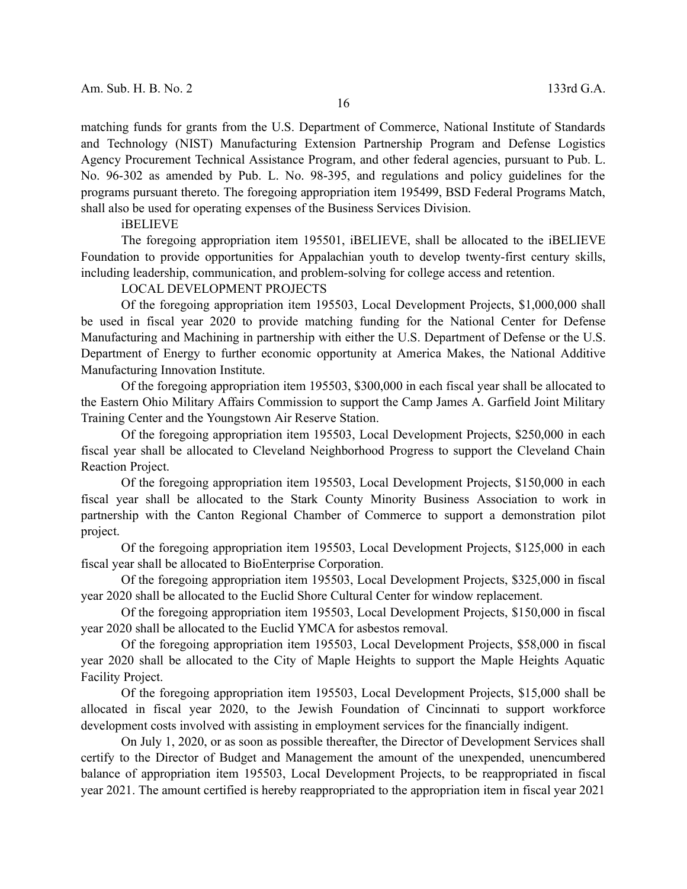matching funds for grants from the U.S. Department of Commerce, National Institute of Standards and Technology (NIST) Manufacturing Extension Partnership Program and Defense Logistics Agency Procurement Technical Assistance Program, and other federal agencies, pursuant to Pub. L. No. 96-302 as amended by Pub. L. No. 98-395, and regulations and policy guidelines for the programs pursuant thereto. The foregoing appropriation item 195499, BSD Federal Programs Match, shall also be used for operating expenses of the Business Services Division.

#### iBELIEVE

The foregoing appropriation item 195501, iBELIEVE, shall be allocated to the iBELIEVE Foundation to provide opportunities for Appalachian youth to develop twenty-first century skills, including leadership, communication, and problem-solving for college access and retention.

#### LOCAL DEVELOPMENT PROJECTS

Of the foregoing appropriation item 195503, Local Development Projects, \$1,000,000 shall be used in fiscal year 2020 to provide matching funding for the National Center for Defense Manufacturing and Machining in partnership with either the U.S. Department of Defense or the U.S. Department of Energy to further economic opportunity at America Makes, the National Additive Manufacturing Innovation Institute.

Of the foregoing appropriation item 195503, \$300,000 in each fiscal year shall be allocated to the Eastern Ohio Military Affairs Commission to support the Camp James A. Garfield Joint Military Training Center and the Youngstown Air Reserve Station.

Of the foregoing appropriation item 195503, Local Development Projects, \$250,000 in each fiscal year shall be allocated to Cleveland Neighborhood Progress to support the Cleveland Chain Reaction Project.

Of the foregoing appropriation item 195503, Local Development Projects, \$150,000 in each fiscal year shall be allocated to the Stark County Minority Business Association to work in partnership with the Canton Regional Chamber of Commerce to support a demonstration pilot project.

Of the foregoing appropriation item 195503, Local Development Projects, \$125,000 in each fiscal year shall be allocated to BioEnterprise Corporation.

Of the foregoing appropriation item 195503, Local Development Projects, \$325,000 in fiscal year 2020 shall be allocated to the Euclid Shore Cultural Center for window replacement.

Of the foregoing appropriation item 195503, Local Development Projects, \$150,000 in fiscal year 2020 shall be allocated to the Euclid YMCA for asbestos removal.

Of the foregoing appropriation item 195503, Local Development Projects, \$58,000 in fiscal year 2020 shall be allocated to the City of Maple Heights to support the Maple Heights Aquatic Facility Project.

Of the foregoing appropriation item 195503, Local Development Projects, \$15,000 shall be allocated in fiscal year 2020, to the Jewish Foundation of Cincinnati to support workforce development costs involved with assisting in employment services for the financially indigent.

On July 1, 2020, or as soon as possible thereafter, the Director of Development Services shall certify to the Director of Budget and Management the amount of the unexpended, unencumbered balance of appropriation item 195503, Local Development Projects, to be reappropriated in fiscal year 2021. The amount certified is hereby reappropriated to the appropriation item in fiscal year 2021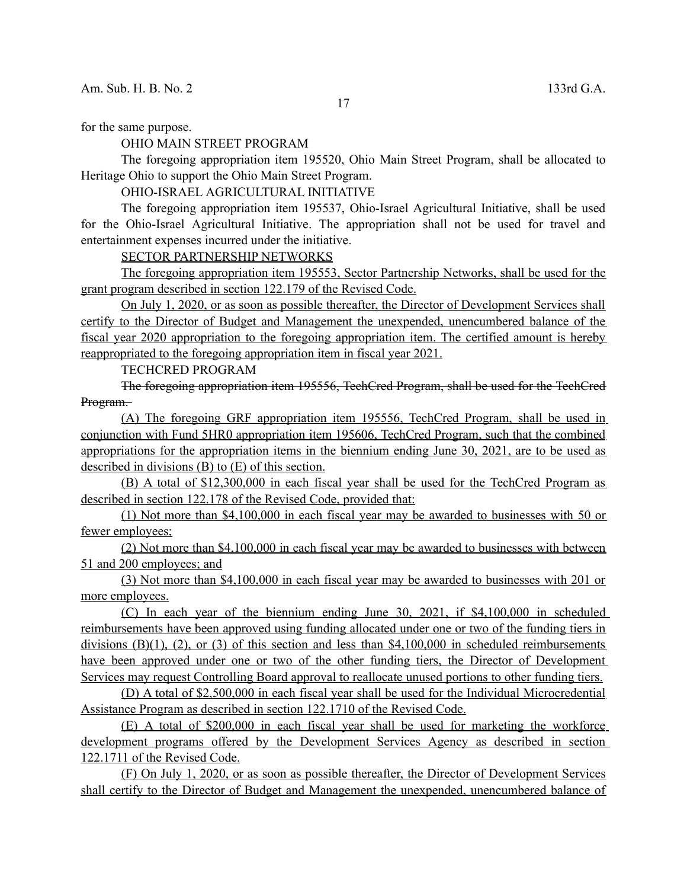for the same purpose.

OHIO MAIN STREET PROGRAM

The foregoing appropriation item 195520, Ohio Main Street Program, shall be allocated to Heritage Ohio to support the Ohio Main Street Program.

OHIO-ISRAEL AGRICULTURAL INITIATIVE

The foregoing appropriation item 195537, Ohio-Israel Agricultural Initiative, shall be used for the Ohio-Israel Agricultural Initiative. The appropriation shall not be used for travel and entertainment expenses incurred under the initiative.

SECTOR PARTNERSHIP NETWORKS

 The foregoing appropriation item 195553, Sector Partnership Networks, shall be used for the grant program described in section 122.179 of the Revised Code.

 On July 1, 2020, or as soon as possible thereafter, the Director of Development Services shall certify to the Director of Budget and Management the unexpended, unencumbered balance of the fiscal year 2020 appropriation to the foregoing appropriation item. The certified amount is hereby reappropriated to the foregoing appropriation item in fiscal year 2021.

TECHCRED PROGRAM

The foregoing appropriation item 195556, TechCred Program, shall be used for the TechCred Program.

 (A) The foregoing GRF appropriation item 195556, TechCred Program, shall be used in conjunction with Fund 5HR0 appropriation item 195606, TechCred Program, such that the combined appropriations for the appropriation items in the biennium ending June 30, 2021, are to be used as described in divisions (B) to (E) of this section.

 (B) A total of \$12,300,000 in each fiscal year shall be used for the TechCred Program as described in section 122.178 of the Revised Code, provided that:

 (1) Not more than \$4,100,000 in each fiscal year may be awarded to businesses with 50 or fewer employees;

 (2) Not more than \$4,100,000 in each fiscal year may be awarded to businesses with between 51 and 200 employees; and

 (3) Not more than \$4,100,000 in each fiscal year may be awarded to businesses with 201 or more employees.

 (C) In each year of the biennium ending June 30, 2021, if \$4,100,000 in scheduled reimbursements have been approved using funding allocated under one or two of the funding tiers in divisions  $(B)(1)$ ,  $(2)$ , or  $(3)$  of this section and less than \$4,100,000 in scheduled reimbursements have been approved under one or two of the other funding tiers, the Director of Development Services may request Controlling Board approval to reallocate unused portions to other funding tiers.

 (D) A total of \$2,500,000 in each fiscal year shall be used for the Individual Microcredential Assistance Program as described in section 122.1710 of the Revised Code.

 (E) A total of \$200,000 in each fiscal year shall be used for marketing the workforce development programs offered by the Development Services Agency as described in section 122.1711 of the Revised Code.

 (F) On July 1, 2020, or as soon as possible thereafter, the Director of Development Services shall certify to the Director of Budget and Management the unexpended, unencumbered balance of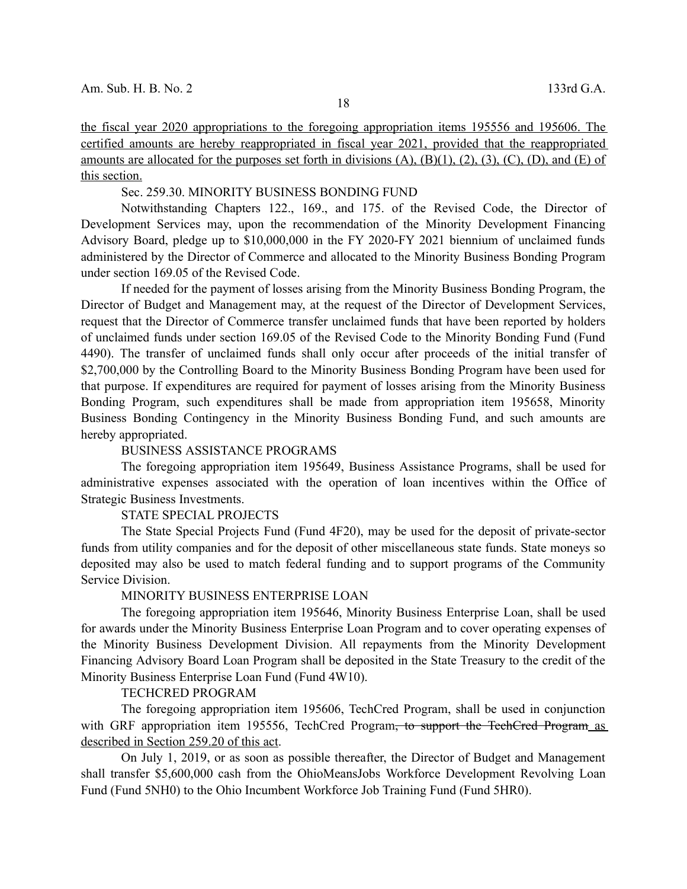the fiscal year 2020 appropriations to the foregoing appropriation items 195556 and 195606. The certified amounts are hereby reappropriated in fiscal year 2021, provided that the reappropriated amounts are allocated for the purposes set forth in divisions  $(A)$ ,  $(B)(1)$ ,  $(2)$ ,  $(3)$ ,  $(C)$ ,  $(D)$ , and  $(E)$  of this section.

Sec. 259.30. MINORITY BUSINESS BONDING FUND

Notwithstanding Chapters 122., 169., and 175. of the Revised Code, the Director of Development Services may, upon the recommendation of the Minority Development Financing Advisory Board, pledge up to \$10,000,000 in the FY 2020-FY 2021 biennium of unclaimed funds administered by the Director of Commerce and allocated to the Minority Business Bonding Program under section 169.05 of the Revised Code.

If needed for the payment of losses arising from the Minority Business Bonding Program, the Director of Budget and Management may, at the request of the Director of Development Services, request that the Director of Commerce transfer unclaimed funds that have been reported by holders of unclaimed funds under section 169.05 of the Revised Code to the Minority Bonding Fund (Fund 4490). The transfer of unclaimed funds shall only occur after proceeds of the initial transfer of \$2,700,000 by the Controlling Board to the Minority Business Bonding Program have been used for that purpose. If expenditures are required for payment of losses arising from the Minority Business Bonding Program, such expenditures shall be made from appropriation item 195658, Minority Business Bonding Contingency in the Minority Business Bonding Fund, and such amounts are hereby appropriated.

#### BUSINESS ASSISTANCE PROGRAMS

The foregoing appropriation item 195649, Business Assistance Programs, shall be used for administrative expenses associated with the operation of loan incentives within the Office of Strategic Business Investments.

## STATE SPECIAL PROJECTS

The State Special Projects Fund (Fund 4F20), may be used for the deposit of private-sector funds from utility companies and for the deposit of other miscellaneous state funds. State moneys so deposited may also be used to match federal funding and to support programs of the Community Service Division.

#### MINORITY BUSINESS ENTERPRISE LOAN

The foregoing appropriation item 195646, Minority Business Enterprise Loan, shall be used for awards under the Minority Business Enterprise Loan Program and to cover operating expenses of the Minority Business Development Division. All repayments from the Minority Development Financing Advisory Board Loan Program shall be deposited in the State Treasury to the credit of the Minority Business Enterprise Loan Fund (Fund 4W10).

#### TECHCRED PROGRAM

The foregoing appropriation item 195606, TechCred Program, shall be used in conjunction with GRF appropriation item 195556, TechCred Program<del>, to support the TechCred Program</del> as described in Section 259.20 of this act.

On July 1, 2019, or as soon as possible thereafter, the Director of Budget and Management shall transfer \$5,600,000 cash from the OhioMeansJobs Workforce Development Revolving Loan Fund (Fund 5NH0) to the Ohio Incumbent Workforce Job Training Fund (Fund 5HR0).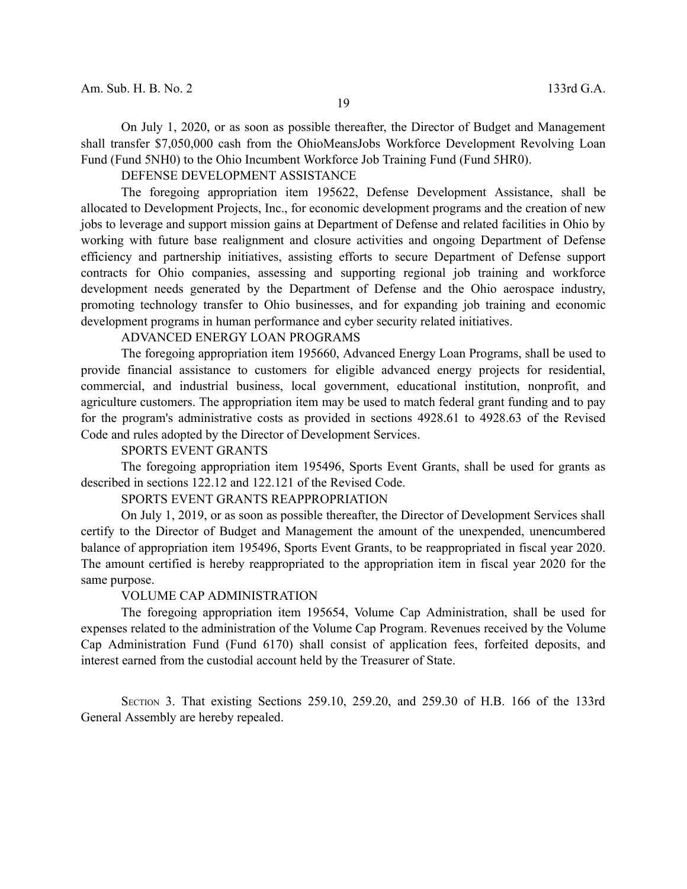On July 1, 2020, or as soon as possible thereafter, the Director of Budget and Management shall transfer \$7,050,000 cash from the OhioMeansJobs Workforce Development Revolving Loan Fund (Fund 5NH0) to the Ohio Incumbent Workforce Job Training Fund (Fund 5HR0).

DEFENSE DEVELOPMENT ASSISTANCE

The foregoing appropriation item 195622, Defense Development Assistance, shall be allocated to Development Projects, Inc., for economic development programs and the creation of new jobs to leverage and support mission gains at Department of Defense and related facilities in Ohio by working with future base realignment and closure activities and ongoing Department of Defense efficiency and partnership initiatives, assisting efforts to secure Department of Defense support contracts for Ohio companies, assessing and supporting regional job training and workforce development needs generated by the Department of Defense and the Ohio aerospace industry, promoting technology transfer to Ohio businesses, and for expanding job training and economic development programs in human performance and cyber security related initiatives.

## ADVANCED ENERGY LOAN PROGRAMS

The foregoing appropriation item 195660, Advanced Energy Loan Programs, shall be used to provide financial assistance to customers for eligible advanced energy projects for residential, commercial, and industrial business, local government, educational institution, nonprofit, and agriculture customers. The appropriation item may be used to match federal grant funding and to pay for the program's administrative costs as provided in sections 4928.61 to 4928.63 of the Revised Code and rules adopted by the Director of Development Services.

#### SPORTS EVENT GRANTS

The foregoing appropriation item 195496, Sports Event Grants, shall be used for grants as described in sections 122.12 and 122.121 of the Revised Code.

#### SPORTS EVENT GRANTS REAPPROPRIATION

On July 1, 2019, or as soon as possible thereafter, the Director of Development Services shall certify to the Director of Budget and Management the amount of the unexpended, unencumbered balance of appropriation item 195496, Sports Event Grants, to be reappropriated in fiscal year 2020. The amount certified is hereby reappropriated to the appropriation item in fiscal year 2020 for the same purpose.

#### VOLUME CAP ADMINISTRATION

The foregoing appropriation item 195654, Volume Cap Administration, shall be used for expenses related to the administration of the Volume Cap Program. Revenues received by the Volume Cap Administration Fund (Fund 6170) shall consist of application fees, forfeited deposits, and interest earned from the custodial account held by the Treasurer of State.

SECTION 3. That existing Sections 259.10, 259.20, and 259.30 of H.B. 166 of the 133rd General Assembly are hereby repealed.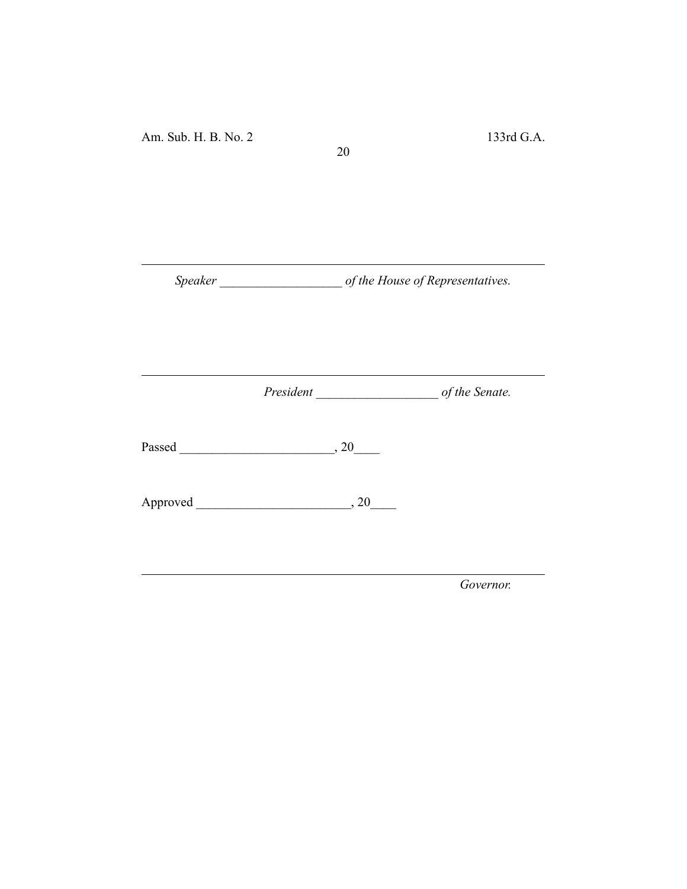*Speaker \_\_\_\_\_\_\_\_\_\_\_\_\_\_\_\_\_\_\_ of the House of Representatives.*

20

*President \_\_\_\_\_\_\_\_\_\_\_\_\_\_\_\_\_\_\_ of the Senate.*

Passed \_\_\_\_\_\_\_\_\_\_\_\_\_\_\_\_\_\_\_\_\_\_\_\_, 20\_\_\_\_

Approved \_\_\_\_\_\_\_\_\_\_\_\_\_\_\_\_\_\_\_\_\_\_\_\_, 20\_\_\_\_

*Governor.*